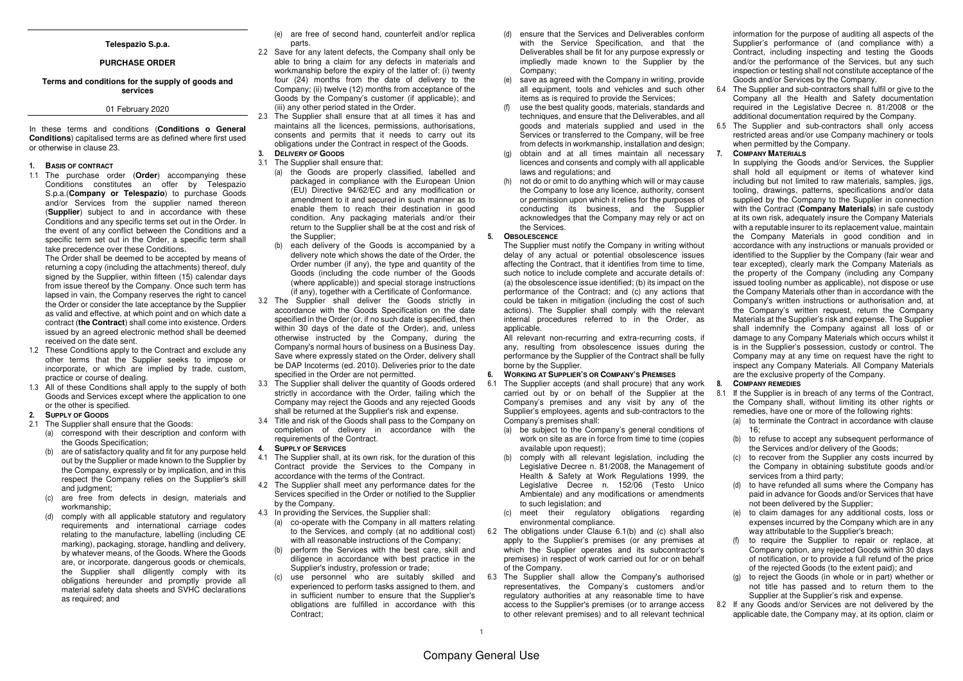### **Telespazio S.p.a.**

### **PURCHASE ORDER**

## **Terms and conditions for the supply of goods and services**

# 01 February 2020

In these terms and conditions (**Conditions o General Conditions**) capitalised terms are as defined where first usedor otherwise in clause 23.

#### **1. BASIS OF CONTRACT**

 1.1 The purchase order (**Order**) accompanying these Conditions constitutes an offer by Telespazio S.p.a.(**Company or Telespazio**) to purchase Goods and/or Services from the supplier named thereon (**Supplier**) subject to and in accordance with these Conditions and any specific terms set out in the Order. In the event of any conflict between the Conditions and a specific term set out in the Order, a specific term shall take precedence over these Conditions.

 The Order shall be deemed to be accepted by means of returning a copy (including the attachments) thereof, duly signed by the Supplier, within fifteen (15) calendar days from issue thereof by the Company. Once such term has lapsed in vain, the Company reserves the right to cancel the Order or consider the late acceptance by the Supplier as valid and effective, at which point and on which date a contract (**the Contract**) shall come into existence. Orders issued by an agreed electronic method shall be deemed received on the date sent.

- 1.2 These Conditions apply to the Contract and exclude any other terms that the Supplier seeks to impose or incorporate, or which are implied by trade, custom,practice or course of dealing.
- 1.3 All of these Conditions shall apply to the supply of both Goods and Services except where the application to one or the other is specified.
- **2. SUPPLY OF GOODS**
- 2.1 The Supplier shall ensure that the Goods:
	- (a) correspond with their description and conform withthe Goods Specification;
	- (b) are of satisfactory quality and fit for any purpose held out by the Supplier or made known to the Supplier by the Company, expressly or by implication, and in this respect the Company relies on the Supplier's skill and judgment;
	- (c) are free from defects in design, materials and workmanship;
	- (d) comply with all applicable statutory and regulatory requirements and international carriage codes relating to the manufacture, labelling (including CE marking), packaging, storage, handling and delivery, by whatever means, of the Goods. Where the Goods are, or incorporate, dangerous goods or chemicals, the Supplier shall diligently comply with its obligations hereunder and promptly provide all material safety data sheets and SVHC declarations as required; and
- (e) are free of second hand, counterfeit and/or replica parts.
- 2.2 Save for any latent defects, the Company shall only be able to bring a claim for any defects in materials and workmanship before the expiry of the latter of: (i) twenty four (24) months from the date of delivery to the Company; (ii) twelve (12) months from acceptance of the Goods by the Company's customer (if applicable); and (iii) any other period stated in the Order.
- 2.3 The Supplier shall ensure that at all times it has and maintains all the licences, permissions, authorisations, consents and permits that it needs to carry out its obligations under the Contract in respect of the Goods. **3. DELIVERY OF GOODS**
- 3.1 The Supplier shall ensure that:
	- (a) the Goods are properly classified, labelled and packaged in compliance with the European Union (EU) Directive 94/62/EC and any modification or amendment to it and secured in such manner as to enable them to reach their destination in good condition. Any packaging materials and/or their return to the Supplier shall be at the cost and risk of the Supplier;
	- (b) each delivery of the Goods is accompanied by a delivery note which shows the date of the Order, the Order number (if any), the type and quantity of the Goods (including the code number of the Goods (where applicable)) and special storage instructions (if any), together with a Certificate of Conformance.
- 3.2 The Supplier shall deliver the Goods strictly in accordance with the Goods Specification on the date specified in the Order (or, if no such date is specified, then within 30 days of the date of the Order), and, unless otherwise instructed by the Company, during the Company's normal hours of business on a Business Day. Save where expressly stated on the Order, delivery shall be DAP Incoterms (ed. 2010). Deliveries prior to the date specified in the Order are not permitted.
- 3.3 The Supplier shall deliver the quantity of Goods ordered strictly in accordance with the Order, failing which the Company may reject the Goods and any rejected Goodsshall be returned at the Supplier's risk and expense.
- 3.4 Title and risk of the Goods shall pass to the Company on completion of delivery in accordance with the requirements of the Contract.
- **4. SUPPLY OF SERVICES**
- 4.1 The Supplier shall, at its own risk, for the duration of this Contract provide the Services to the Company in accordance with the terms of the Contract.
- 4.2 The Supplier shall meet any performance dates for the Services specified in the Order or notified to the Supplier by the Company.
- 4.3 In providing the Services, the Supplier shall:
	- (a) co-operate with the Company in all matters relating to the Services, and comply (at no additional cost)with all reasonable instructions of the Company:
	- (b) perform the Services with the best care, skill and diligence in accordance with best practice in the Supplier's industry, profession or trade;
	- (c) use personnel who are suitably skilled and experienced to perform tasks assigned to them, and in sufficient number to ensure that the Supplier's obligations are fulfilled in accordance with this Contract;
- (d) ensure that the Services and Deliverables conform with the Service Specification, and that the Deliverables shall be fit for any purpose expressly or impliedly made known to the Supplier by the Company;
- (e) save as agreed with the Company in writing, provide all equipment, tools and vehicles and such other items as is required to provide the Services;
- (f) use the best quality goods, materials, standards and techniques, and ensure that the Deliverables, and all goods and materials supplied and used in the Services or transferred to the Company, will be free from defects in workmanship, installation and design;
- (g) obtain and at all times maintain all necessary licences and consents and comply with all applicable laws and regulations; and
- (h) not do or omit to do anything which will or may cause the Company to lose any licence, authority, consent or permission upon which it relies for the purposes of conducting its business, and the Supplier acknowledges that the Company may rely or act on the Services.

#### **5. OBSOLESCENCE**

 The Supplier must notify the Company in writing without delay of any actual or potential obsolescence issues affecting the Contract, that it identifies from time to time, such notice to include complete and accurate details of: (a) the obsolescence issue identified; (b) its impact on the performance of the Contract; and (c) any actions that could be taken in mitigation (including the cost of such actions). The Supplier shall comply with the relevant internal procedures referred to in the Order, as applicable.

 All relevant non-recurring and extra-recurring costs, if any, resulting from obsolescence issues during the performance by the Supplier of the Contract shall be fully borne by the Supplier.

#### **6. WORKING AT SUPPLIER'S OR COMPANY'S PREMISES**

- 6.1 The Supplier accepts (and shall procure) that any work carried out by or on behalf of the Supplier at the Company's premises and any visit by any of the Supplier's employees, agents and sub-contractors to the Company's premises shall:
	- (a) be subject to the Company's general conditions of work on site as are in force from time to time (copies available upon request):
	- (b) comply with all relevant legislation, including the Legislative Decree n. 81/2008, the Management of Health & Safety at Work Regulations 1999, the Legislative Decree n. 152/06 (Testo Unico Ambientale) and any modifications or amendments to such legislation; and
	- (c) meet their regulatory obligations regarding environmental compliance.
- 6.2 The obligations under Clause 6.1(b) and (c) shall also apply to the Supplier's premises (or any premises at which the Supplier operates and its subcontractor's premises) in respect of work carried out for or on behalf of the Company.
- 6.3 The Supplier shall allow the Company's authorised representatives, the Company's customers and/or regulatory authorities at any reasonable time to have access to the Supplier's premises (or to arrange access to other relevant premises) and to all relevant technical

information for the purpose of auditing all aspects of the Supplier's performance of (and compliance with) a Contract, including inspecting and testing the Goods and/or the performance of the Services, but any such inspection or testing shall not constitute acceptance of the Goods and/or Services by the Company.

- 6.4 The Supplier and sub-contractors shall fulfil or give to the Company all the Health and Safety documentation required in the Legislative Decree n. 81/2008 or the additional documentation required by the Company.
- 6.5 The Supplier and sub-contractors shall only access restricted areas and/or use Company machinery or tools when permitted by the Company.

#### **7. COMPANY MATERIALS**

 In supplying the Goods and/or Services, the Supplier shall hold all equipment or items of whatever kind including but not limited to raw materials, samples, jigs, tooling, drawings, patterns, specifications and/or data supplied by the Company to the Supplier in connection with the Contract (**Company Materials**) in safe custody at its own risk, adequately insure the Company Materials with a reputable insurer to its replacement value, maintain the Company Materials in good condition and in accordance with any instructions or manuals provided or identified to the Supplier by the Company (fair wear and tear excepted), clearly mark the Company Materials as the property of the Company (including any Company issued tooling number as applicable), not dispose or use the Company Materials other than in accordance with the Company's written instructions or authorisation and, at the Company's written request, return the Company Materials at the Supplier's risk and expense. The Supplier shall indemnify the Company against all loss of or damage to any Company Materials which occurs whilst it is in the Supplier's possession, custody or control. The Company may at any time on request have the right to inspect any Company Materials. All Company Materials are the exclusive property of the Company.

## **8. COMPANY REMEDIES**

 8.1 If the Supplier is in breach of any terms of the Contract, the Company shall, without limiting its other rights or remedies, have one or more of the following rights:

- (a) to terminate the Contract in accordance with clause  $16<sup>°</sup>$
- (b) to refuse to accept any subsequent performance of the Services and/or delivery of the Goods;
- (c) to recover from the Supplier any costs incurred by the Company in obtaining substitute goods and/or services from a third party;
- (d) to have refunded all sums where the Company has paid in advance for Goods and/or Services that havenot been delivered by the Supplier;
- (e) to claim damages for any additional costs, loss or expenses incurred by the Company which are in any way attributable to the Supplier's breach;
- (f) to require the Supplier to repair or replace, at Company option, any rejected Goods within 30 days of notification, or to provide a full refund of the price of the rejected Goods (to the extent paid); and
- (g) to reject the Goods (in whole or in part) whether or not title has passed and to return them to the Supplier at the Supplier's risk and expense.
- 8.2 If any Goods and/or Services are not delivered by the applicable date, the Company may, at its option, claim or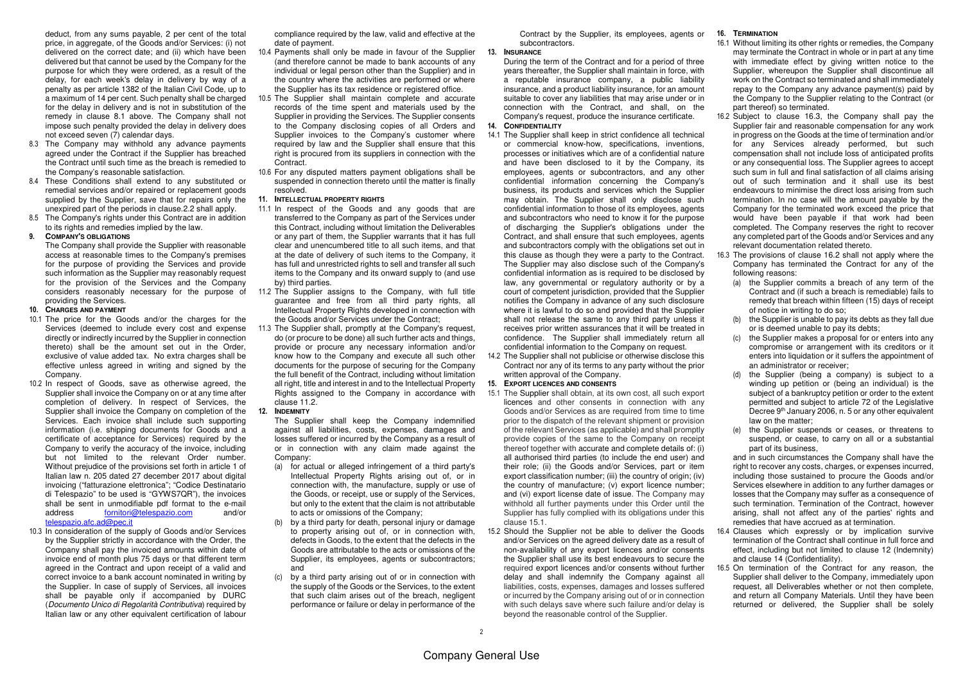deduct, from any sums payable, 2 per cent of the total price, in aggregate, of the Goods and/or Services: (i) not delivered on the correct date; and (ii) which have been delivered but that cannot be used by the Company for the purpose for which they were ordered, as a result of the delay, for each week's delay in delivery by way of a penalty as per article 1382 of the Italian Civil Code, up to a maximum of 14 per cent. Such penalty shall be charged for the delay in delivery and is not in substitution of the remedy in clause 8.1 above. The Company shall not impose such penalty provided the delay in delivery does not exceed seven (7) calendar days.

- 8.3 The Company may withhold any advance payments agreed under the Contract if the Supplier has breached the Contract until such time as the breach is remedied to the Company's reasonable satisfaction.
- 8.4 These Conditions shall extend to any substituted or remedial services and/or repaired or replacement goods supplied by the Supplier, save that for repairs only the unexpired part of the periods in clause.2.2 shall apply.
- 8.5 The Company's rights under this Contract are in addition to its rights and remedies implied by the law.

### **9. COMPANY'S OBLIGATIONS**

 The Company shall provide the Supplier with reasonable access at reasonable times to the Company's premises for the purpose of providing the Services and provide such information as the Supplier may reasonably request for the provision of the Services and the Company considers reasonably necessary for the purpose of providing the Services.

#### **10. CHARGES AND PAYMENT**

- 10.1 The price for the Goods and/or the charges for the Services (deemed to include every cost and expense directly or indirectly incurred by the Supplier in connection thereto) shall be the amount set out in the Order, exclusive of value added tax. No extra charges shall be effective unless agreed in writing and signed by the Company.
- 10.2 In respect of Goods, save as otherwise agreed, the Supplier shall invoice the Company on or at any time after completion of delivery. In respect of Services, the Supplier shall invoice the Company on completion of the Services. Each invoice shall include such supporting information (i.e. shipping documents for Goods and a certificate of acceptance for Services) required by the Company to verify the accuracy of the invoice, including but not limited to the relevant Order number. Without prejudice of the provisions set forth in article 1 of Italian law n. 205 dated 27 december 2017 about digital invoicing ("fatturazione elettronica"; "Codice Destinatario di Telespazio" to be used is "GYWS7QR"), the invoices shall be sent in unmodifiable pdf format to the e-mail and/or address fornitori@telespazio.com telespazio.afc.ad@pec.it
- 10.3 In consideration of the supply of Goods and/or Services by the Supplier strictly in accordance with the Order, the Company shall pay the invoiced amounts within date of invoice end of month plus 75 days or that different term agreed in the Contract and upon receipt of a valid and correct invoice to a bank account nominated in writing by the Supplier. In case of supply of Services, all invoices shall be payable only if accompanied by DURC (Documento Unico di Regolarità Contributiva) required by Italian law or any other equivalent certification of labour

compliance required by the law, valid and effective at the date of payment.

- 10.4 Payments shall only be made in favour of the Supplier (and therefore cannot be made to bank accounts of any individual or legal person other than the Supplier) and in the country where the activities are performed or where the Supplier has its tax residence or registered office.
- 10.5 The Supplier shall maintain complete and accurate records of the time spent and materials used by the Supplier in providing the Services. The Supplier consents to the Company disclosing copies of all Orders and Supplier invoices to the Company's customer where required by law and the Supplier shall ensure that this right is procured from its suppliers in connection with the **Contract.**
- 10.6 For any disputed matters payment obligations shall be suspended in connection thereto until the matter is finally resolved.

#### **11. INTELLECTUAL PROPERTY RIGHTS**

- 11.1 In respect of the Goods and any goods that are transferred to the Company as part of the Services under this Contract, including without limitation the Deliverables or any part of them, the Supplier warrants that it has full clear and unencumbered title to all such items, and that at the date of delivery of such items to the Company, it has full and unrestricted rights to sell and transfer all such items to the Company and its onward supply to (and use by) third parties.
- 11.2 The Supplier assigns to the Company, with full title guarantee and free from all third party rights, all Intellectual Property Rights developed in connection with the Goods and/or Services under the Contract;
- 11.3 The Supplier shall, promptly at the Company's request, do (or procure to be done) all such further acts and things, provide or procure any necessary information and/or know how to the Company and execute all such other documents for the purpose of securing for the Company the full benefit of the Contract, including without limitation all right, title and interest in and to the Intellectual Property Rights assigned to the Company in accordance with clause 11.2.

#### **12. INDEMNITY**

 The Supplier shall keep the Company indemnified against all liabilities, costs, expenses, damages and losses suffered or incurred by the Company as a result of or in connection with any claim made against the Company:

- (a) for actual or alleged infringement of a third party's Intellectual Property Rights arising out of, or in connection with, the manufacture, supply or use of the Goods, or receipt, use or supply of the Services, but only to the extent that the claim is not attributable to acts or omissions of the Company;
- (b) by a third party for death, personal injury or damage to property arising out of, or in connection with, defects in Goods, to the extent that the defects in the Goods are attributable to the acts or omissions of the Supplier, its employees, agents or subcontractors; and
- (c) by a third party arising out of or in connection with the supply of the Goods or the Services, to the extent that such claim arises out of the breach, negligentperformance or failure or delay in performance of the

Contract by the Supplier, its employees, agents or subcontractors.

## **13. INSURANCE**

 During the term of the Contract and for a period of three years thereafter, the Supplier shall maintain in force, with a reputable insurance company, a public liability insurance, and a product liability insurance, for an amount suitable to cover any liabilities that may arise under or in connection with the Contract, and shall, on the Company's request, produce the insurance certificate.

## **14. CONFIDENTIALITY**

- 14.1 The Supplier shall keep in strict confidence all technical or commercial know-how, specifications, inventions, processes or initiatives which are of a confidential nature and have been disclosed to it by the Company, its employees, agents or subcontractors, and any other confidential information concerning the Company's business, its products and services which the Supplier may obtain. The Supplier shall only disclose such confidential information to those of its employees, agents and subcontractors who need to know it for the purpose of discharging the Supplier's obligations under the Contract, and shall ensure that such employees, agents and subcontractors comply with the obligations set out in this clause as though they were a party to the Contract. The Supplier may also disclose such of the Company's confidential information as is required to be disclosed by law, any governmental or regulatory authority or by a court of competent jurisdiction, provided that the Supplier notifies the Company in advance of any such disclosure where it is lawful to do so and provided that the Supplier shall not release the same to any third party unless it receives prior written assurances that it will be treated in confidence. The Supplier shall immediately return all confidential information to the Company on request.
- 14.2 The Supplier shall not publicise or otherwise disclose this Contract nor any of its terms to any party without the prior written approval of the Company.

## **15. EXPORT LICENCES AND CONSENTS**

- 15.1 The Supplier shall obtain, at its own cost, all such export licences and other consents in connection with any Goods and/or Services as are required from time to time prior to the dispatch of the relevant shipment or provision of the relevant Services (as applicable) and shall promptly provide copies of the same to the Company on receipt thereof together with accurate and complete details of: (i) all authorised third parties (to include the end user) and their role; (ii) the Goods and/or Services, part or item export classification number; (iii) the country of origin; (iv) the country of manufacture; (v) export licence number; and (vi) export license date of issue. The Company may withhold all further payments under this Order until the Supplier has fully complied with its obligations under this clause 15.1.
- 15.2 Should the Supplier not be able to deliver the Goods and/or Services on the agreed delivery date as a result of non-availability of any export licences and/or consents the Supplier shall use its best endeavours to secure the required export licences and/or consents without further delay and shall indemnify the Company against all liabilities, costs, expenses, damages and losses suffered or incurred by the Company arising out of or in connection with such delays save where such failure and/or delay is beyond the reasonable control of the Supplier.

### **16. TERMINATION**

- 16.1 Without limiting its other rights or remedies, the Company may terminate the Contract in whole or in part at any time with immediate effect by giving written notice to the Supplier, whereupon the Supplier shall discontinue all work on the Contract so terminated and shall immediately repay to the Company any advance payment(s) paid by the Company to the Supplier relating to the Contract (or part thereof) so terminated.
- 16.2 Subject to clause 16.3, the Company shall pay the Supplier fair and reasonable compensation for any work in progress on the Goods at the time of termination and/or for any Services already performed, but such compensation shall not include loss of anticipated profits or any consequential loss. The Supplier agrees to accept such sum in full and final satisfaction of all claims arising out of such termination and it shall use its best endeavours to minimise the direct loss arising from such termination. In no case will the amount payable by the Company for the terminated work exceed the price that would have been payable if that work had been completed. The Company reserves the right to recover any completed part of the Goods and/or Services and any relevant documentation related thereto.
- 16.3 The provisions of clause 16.2 shall not apply where the Company has terminated the Contract for any of the following reasons:
	- (a) the Supplier commits a breach of any term of the Contract and (if such a breach is remediable) fails to remedy that breach within fifteen (15) days of receipt of notice in writing to do so;
	- (b) the Supplier is unable to pay its debts as they fall due or is deemed unable to pay its debts;
	- (c) the Supplier makes a proposal for or enters into any compromise or arrangement with its creditors or it enters into liquidation or it suffers the appointment of an administrator or receiver;
	- (d) the Supplier (being a company) is subject to a winding up petition or (being an individual) is the subject of a bankruptcy petition or order to the extent permitted and subject to article 72 of the Legislative Decree 9<sup>th</sup> January 2006, n. 5 or any other equivalent law on the matter:
	- (e) the Supplier suspends or ceases, or threatens to suspend, or cease, to carry on all or a substantialpart of its business,

 and in such circumstances the Company shall have the right to recover any costs, charges, or expenses incurred, including those sustained to procure the Goods and/or Services elsewhere in addition to any further damages or losses that the Company may suffer as a consequence of such termination. Termination of the Contract, however arising, shall not affect any of the parties' rights and remedies that have accrued as at termination.

- 16.4 Clauses which expressly or by implication survive termination of the Contract shall continue in full force and effect, including but not limited to clause 12 (Indemnity) and clause 14 (Confidentiality).
- 16.5 On termination of the Contract for any reason, the Supplier shall deliver to the Company, immediately upon request, all Deliverables whether or not then complete, and return all Company Materials. Until they have been returned or delivered, the Supplier shall be solely